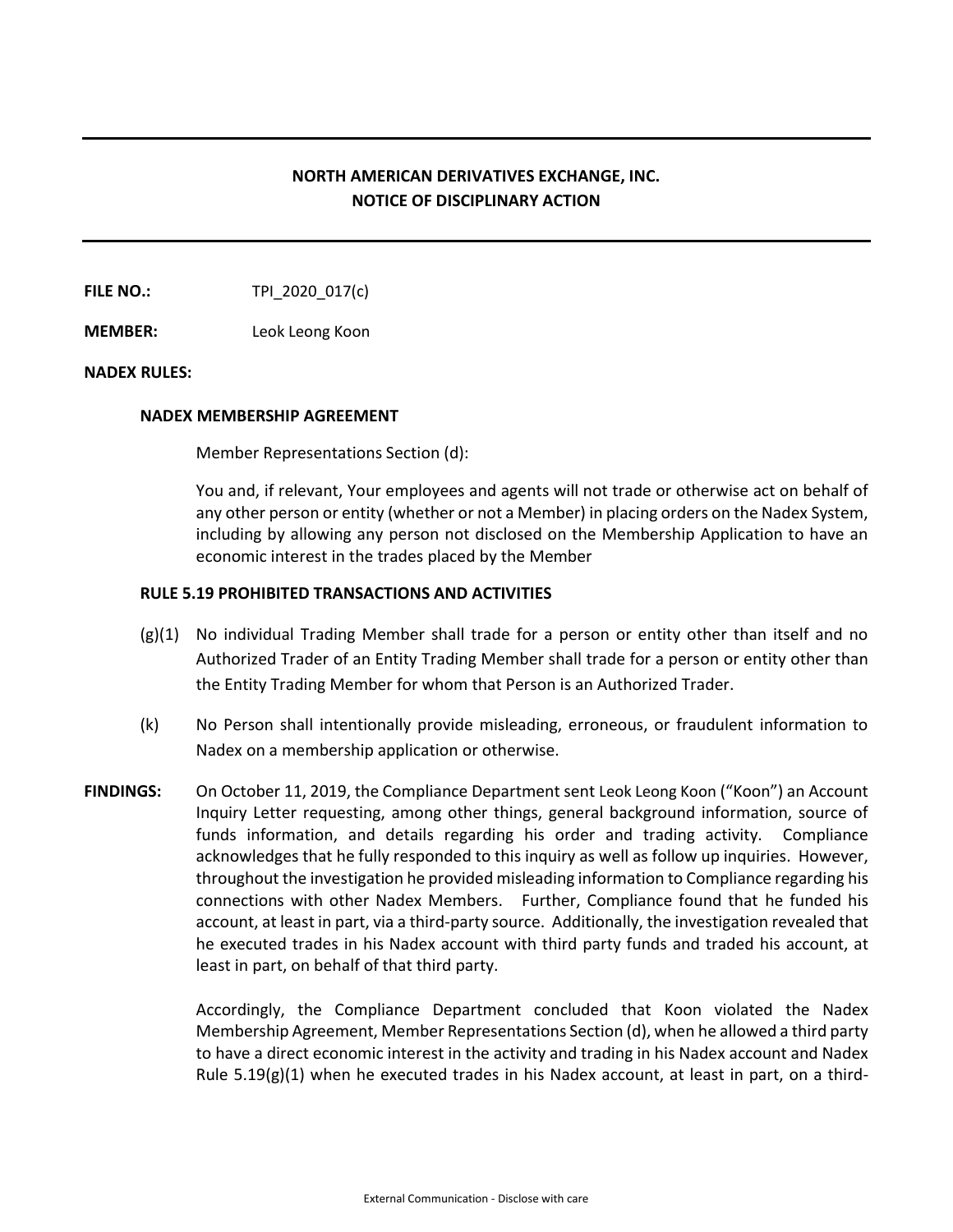## **NORTH AMERICAN DERIVATIVES EXCHANGE, INC. NOTICE OF DISCIPLINARY ACTION**

**FILE NO.:** TPI\_2020\_017(c)

**MEMBER:** Leok Leong Koon

## **NADEX RULES:**

## **NADEX MEMBERSHIP AGREEMENT**

Member Representations Section (d):

You and, if relevant, Your employees and agents will not trade or otherwise act on behalf of any other person or entity (whether or not a Member) in placing orders on the Nadex System, including by allowing any person not disclosed on the Membership Application to have an economic interest in the trades placed by the Member

## **RULE 5.19 PROHIBITED TRANSACTIONS AND ACTIVITIES**

- $(g)(1)$  No individual Trading Member shall trade for a person or entity other than itself and no Authorized Trader of an Entity Trading Member shall trade for a person or entity other than the Entity Trading Member for whom that Person is an Authorized Trader.
- (k) No Person shall intentionally provide misleading, erroneous, or fraudulent information to Nadex on a membership application or otherwise.
- **FINDINGS:** On October 11, 2019, the Compliance Department sent Leok Leong Koon ("Koon") an Account Inquiry Letter requesting, among other things, general background information, source of funds information, and details regarding his order and trading activity. Compliance acknowledges that he fully responded to this inquiry as well as follow up inquiries. However, throughout the investigation he provided misleading information to Compliance regarding his connections with other Nadex Members. Further, Compliance found that he funded his account, at least in part, via a third-party source. Additionally, the investigation revealed that he executed trades in his Nadex account with third party funds and traded his account, at least in part, on behalf of that third party.

Accordingly, the Compliance Department concluded that Koon violated the Nadex Membership Agreement, Member Representations Section (d), when he allowed a third party to have a direct economic interest in the activity and trading in his Nadex account and Nadex Rule  $5.19(g)(1)$  when he executed trades in his Nadex account, at least in part, on a third